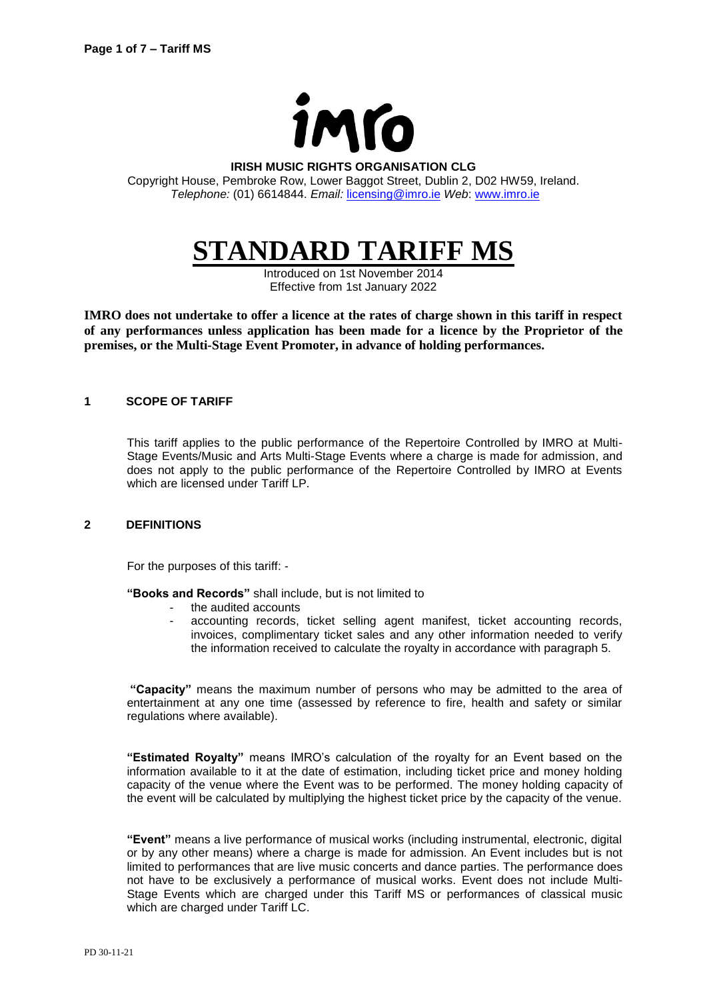

#### **IRISH MUSIC RIGHTS ORGANISATION CLG**

Copyright House, Pembroke Row, Lower Baggot Street, Dublin 2, D02 HW59, Ireland. *Telephone:* (01) 6614844. *Email:* [licensing@imro.ie](mailto:licensing@imro.ie) *Web*: [www.imro.ie](http://www.imro.ie/)

# **STANDARD TARIFF MS**

Introduced on 1st November 2014 Effective from 1st January 2022

**IMRO does not undertake to offer a licence at the rates of charge shown in this tariff in respect of any performances unless application has been made for a licence by the Proprietor of the premises, or the Multi-Stage Event Promoter, in advance of holding performances.** 

#### **1 SCOPE OF TARIFF**

This tariff applies to the public performance of the Repertoire Controlled by IMRO at Multi-Stage Events/Music and Arts Multi-Stage Events where a charge is made for admission, and does not apply to the public performance of the Repertoire Controlled by IMRO at Events which are licensed under Tariff LP.

#### **2 DEFINITIONS**

For the purposes of this tariff: -

**"Books and Records"** shall include, but is not limited to

- the audited accounts
- accounting records, ticket selling agent manifest, ticket accounting records, invoices, complimentary ticket sales and any other information needed to verify the information received to calculate the royalty in accordance with paragraph 5.

**"Capacity"** means the maximum number of persons who may be admitted to the area of entertainment at any one time (assessed by reference to fire, health and safety or similar regulations where available).

**"Estimated Royalty"** means IMRO's calculation of the royalty for an Event based on the information available to it at the date of estimation, including ticket price and money holding capacity of the venue where the Event was to be performed. The money holding capacity of the event will be calculated by multiplying the highest ticket price by the capacity of the venue.

**"Event"** means a live performance of musical works (including instrumental, electronic, digital or by any other means) where a charge is made for admission. An Event includes but is not limited to performances that are live music concerts and dance parties. The performance does not have to be exclusively a performance of musical works. Event does not include Multi-Stage Events which are charged under this Tariff MS or performances of classical music which are charged under Tariff LC.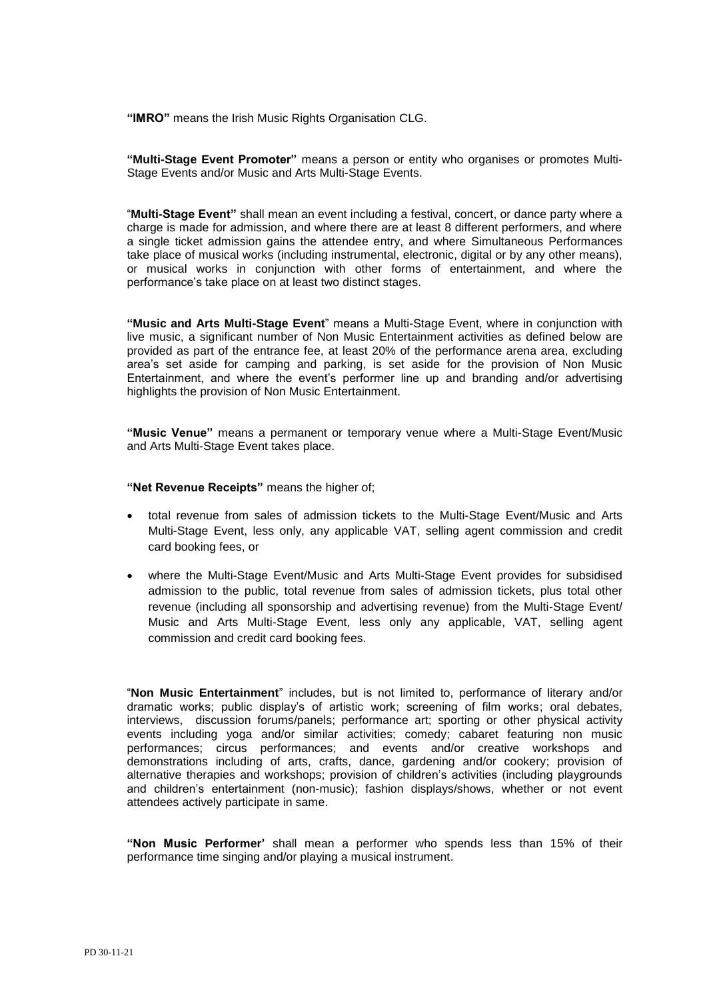**"IMRO"** means the Irish Music Rights Organisation CLG.

**"Multi-Stage Event Promoter"** means a person or entity who organises or promotes Multi-Stage Events and/or Music and Arts Multi-Stage Events.

"**Multi-Stage Event"** shall mean an event including a festival, concert, or dance party where a charge is made for admission, and where there are at least 8 different performers, and where a single ticket admission gains the attendee entry, and where Simultaneous Performances take place of musical works (including instrumental, electronic, digital or by any other means), or musical works in conjunction with other forms of entertainment, and where the performance's take place on at least two distinct stages.

**"Music and Arts Multi-Stage Event**" means a Multi-Stage Event, where in conjunction with live music, a significant number of Non Music Entertainment activities as defined below are provided as part of the entrance fee, at least 20% of the performance arena area, excluding area's set aside for camping and parking, is set aside for the provision of Non Music Entertainment, and where the event's performer line up and branding and/or advertising highlights the provision of Non Music Entertainment.

**"Music Venue"** means a permanent or temporary venue where a Multi-Stage Event/Music and Arts Multi-Stage Event takes place.

**"Net Revenue Receipts"** means the higher of;

- total revenue from sales of admission tickets to the Multi-Stage Event/Music and Arts Multi-Stage Event, less only, any applicable VAT, selling agent commission and credit card booking fees, or
- where the Multi-Stage Event/Music and Arts Multi-Stage Event provides for subsidised admission to the public, total revenue from sales of admission tickets, plus total other revenue (including all sponsorship and advertising revenue) from the Multi-Stage Event/ Music and Arts Multi-Stage Event, less only any applicable, VAT, selling agent commission and credit card booking fees.

"**Non Music Entertainment**" includes, but is not limited to, performance of literary and/or dramatic works; public display's of artistic work; screening of film works; oral debates, interviews, discussion forums/panels; performance art; sporting or other physical activity events including yoga and/or similar activities; comedy; cabaret featuring non music performances; circus performances; and events and/or creative workshops and demonstrations including of arts, crafts, dance, gardening and/or cookery; provision of alternative therapies and workshops; provision of children's activities (including playgrounds and children's entertainment (non-music); fashion displays/shows, whether or not event attendees actively participate in same.

**"Non Music Performer'** shall mean a performer who spends less than 15% of their performance time singing and/or playing a musical instrument.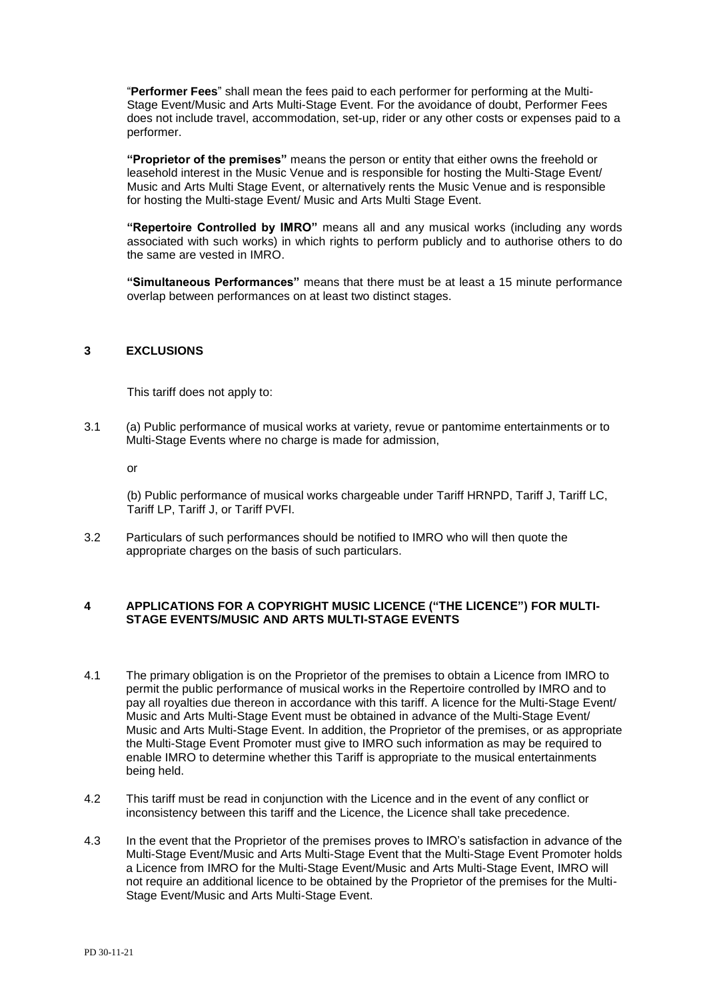"**Performer Fees**" shall mean the fees paid to each performer for performing at the Multi-Stage Event/Music and Arts Multi-Stage Event. For the avoidance of doubt, Performer Fees does not include travel, accommodation, set-up, rider or any other costs or expenses paid to a performer.

**"Proprietor of the premises"** means the person or entity that either owns the freehold or leasehold interest in the Music Venue and is responsible for hosting the Multi-Stage Event/ Music and Arts Multi Stage Event, or alternatively rents the Music Venue and is responsible for hosting the Multi-stage Event/ Music and Arts Multi Stage Event.

**"Repertoire Controlled by IMRO"** means all and any musical works (including any words associated with such works) in which rights to perform publicly and to authorise others to do the same are vested in IMRO.

**"Simultaneous Performances"** means that there must be at least a 15 minute performance overlap between performances on at least two distinct stages.

#### **3 EXCLUSIONS**

This tariff does not apply to:

3.1 (a) Public performance of musical works at variety, revue or pantomime entertainments or to Multi-Stage Events where no charge is made for admission,

or

(b) Public performance of musical works chargeable under Tariff HRNPD, Tariff J, Tariff LC, Tariff LP, Tariff J, or Tariff PVFI.

3.2 Particulars of such performances should be notified to IMRO who will then quote the appropriate charges on the basis of such particulars.

#### **4 APPLICATIONS FOR A COPYRIGHT MUSIC LICENCE ("THE LICENCE") FOR MULTI-STAGE EVENTS/MUSIC AND ARTS MULTI-STAGE EVENTS**

- 4.1 The primary obligation is on the Proprietor of the premises to obtain a Licence from IMRO to permit the public performance of musical works in the Repertoire controlled by IMRO and to pay all royalties due thereon in accordance with this tariff. A licence for the Multi-Stage Event/ Music and Arts Multi-Stage Event must be obtained in advance of the Multi-Stage Event/ Music and Arts Multi-Stage Event. In addition, the Proprietor of the premises, or as appropriate the Multi-Stage Event Promoter must give to IMRO such information as may be required to enable IMRO to determine whether this Tariff is appropriate to the musical entertainments being held.
- 4.2 This tariff must be read in conjunction with the Licence and in the event of any conflict or inconsistency between this tariff and the Licence, the Licence shall take precedence.
- 4.3 In the event that the Proprietor of the premises proves to IMRO's satisfaction in advance of the Multi-Stage Event/Music and Arts Multi-Stage Event that the Multi-Stage Event Promoter holds a Licence from IMRO for the Multi-Stage Event/Music and Arts Multi-Stage Event, IMRO will not require an additional licence to be obtained by the Proprietor of the premises for the Multi-Stage Event/Music and Arts Multi-Stage Event.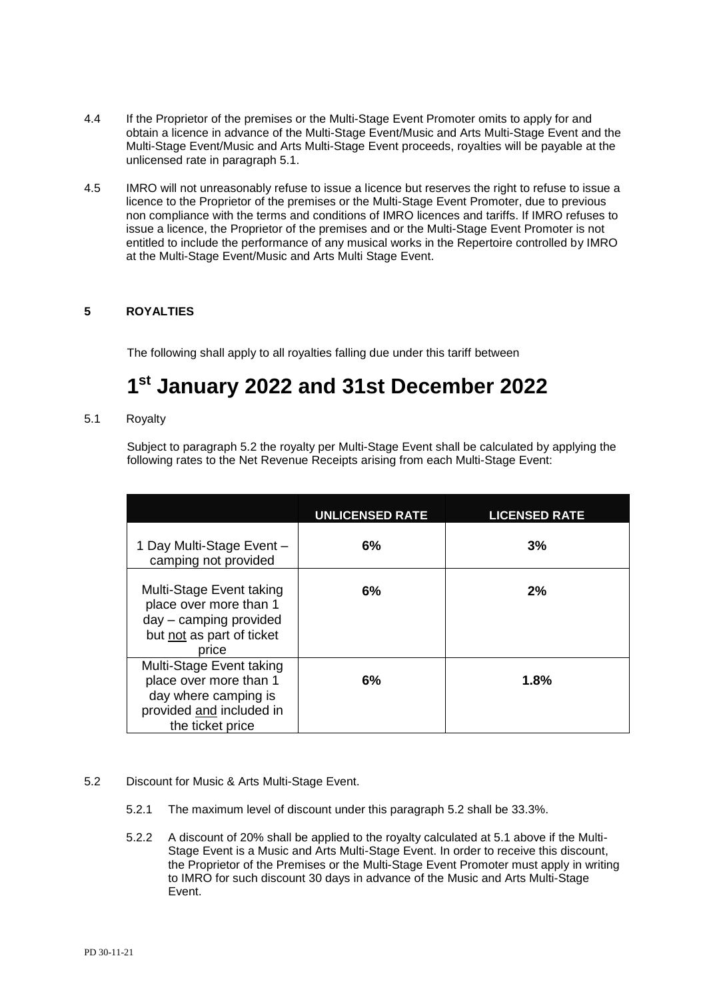- 4.4 If the Proprietor of the premises or the Multi-Stage Event Promoter omits to apply for and obtain a licence in advance of the Multi-Stage Event/Music and Arts Multi-Stage Event and the Multi-Stage Event/Music and Arts Multi-Stage Event proceeds, royalties will be payable at the unlicensed rate in paragraph 5.1.
- 4.5 IMRO will not unreasonably refuse to issue a licence but reserves the right to refuse to issue a licence to the Proprietor of the premises or the Multi-Stage Event Promoter, due to previous non compliance with the terms and conditions of IMRO licences and tariffs. If IMRO refuses to issue a licence, the Proprietor of the premises and or the Multi-Stage Event Promoter is not entitled to include the performance of any musical works in the Repertoire controlled by IMRO at the Multi-Stage Event/Music and Arts Multi Stage Event.

# **5 ROYALTIES**

The following shall apply to all royalties falling due under this tariff between

# **1 st January 2022 and 31st December 2022**

5.1 Royalty

Subject to paragraph 5.2 the royalty per Multi-Stage Event shall be calculated by applying the following rates to the Net Revenue Receipts arising from each Multi-Stage Event:

|                                                                                                                            | <b>UNLICENSED RATE</b> | <b>LICENSED RATE</b> |
|----------------------------------------------------------------------------------------------------------------------------|------------------------|----------------------|
| 1 Day Multi-Stage Event -<br>camping not provided                                                                          | 6%                     | 3%                   |
| Multi-Stage Event taking<br>place over more than 1<br>day - camping provided<br>but not as part of ticket<br>price         | 6%                     | 2%                   |
| Multi-Stage Event taking<br>place over more than 1<br>day where camping is<br>provided and included in<br>the ticket price | 6%                     | 1.8%                 |

#### 5.2 Discount for Music & Arts Multi-Stage Event.

- 5.2.1 The maximum level of discount under this paragraph 5.2 shall be 33.3%.
- 5.2.2 A discount of 20% shall be applied to the royalty calculated at 5.1 above if the Multi-Stage Event is a Music and Arts Multi-Stage Event. In order to receive this discount, the Proprietor of the Premises or the Multi-Stage Event Promoter must apply in writing to IMRO for such discount 30 days in advance of the Music and Arts Multi-Stage Event.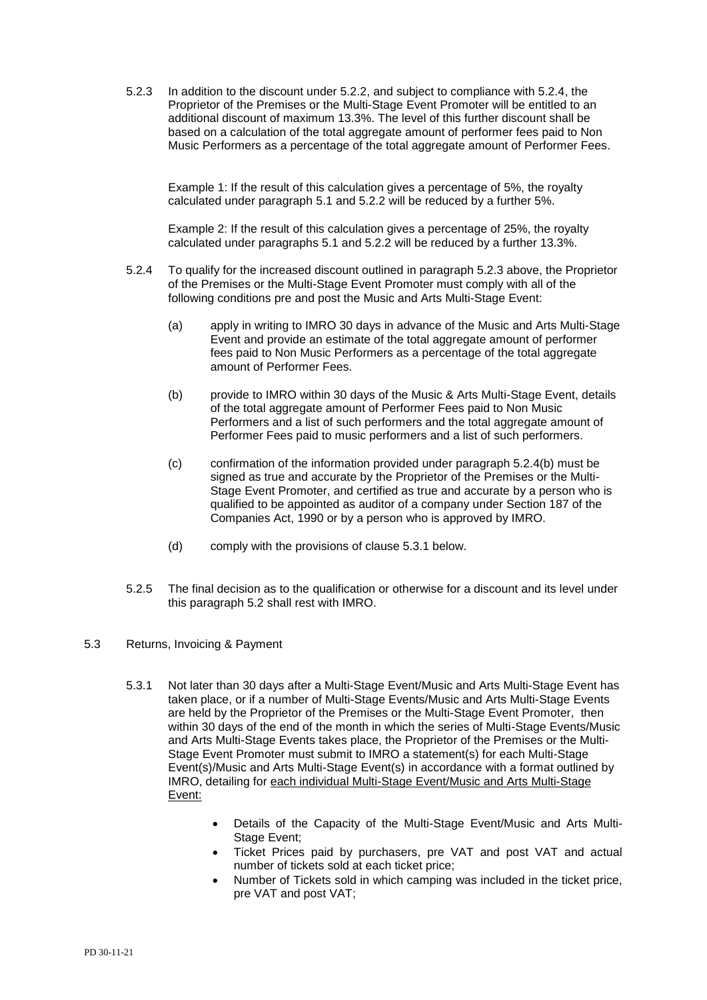5.2.3 In addition to the discount under 5.2.2, and subject to compliance with 5.2.4, the Proprietor of the Premises or the Multi-Stage Event Promoter will be entitled to an additional discount of maximum 13.3%. The level of this further discount shall be based on a calculation of the total aggregate amount of performer fees paid to Non Music Performers as a percentage of the total aggregate amount of Performer Fees.

Example 1: If the result of this calculation gives a percentage of 5%, the royalty calculated under paragraph 5.1 and 5.2.2 will be reduced by a further 5%.

Example 2: If the result of this calculation gives a percentage of 25%, the royalty calculated under paragraphs 5.1 and 5.2.2 will be reduced by a further 13.3%.

- 5.2.4 To qualify for the increased discount outlined in paragraph 5.2.3 above, the Proprietor of the Premises or the Multi-Stage Event Promoter must comply with all of the following conditions pre and post the Music and Arts Multi-Stage Event:
	- (a) apply in writing to IMRO 30 days in advance of the Music and Arts Multi-Stage Event and provide an estimate of the total aggregate amount of performer fees paid to Non Music Performers as a percentage of the total aggregate amount of Performer Fees.
	- (b) provide to IMRO within 30 days of the Music & Arts Multi-Stage Event, details of the total aggregate amount of Performer Fees paid to Non Music Performers and a list of such performers and the total aggregate amount of Performer Fees paid to music performers and a list of such performers.
	- (c) confirmation of the information provided under paragraph 5.2.4(b) must be signed as true and accurate by the Proprietor of the Premises or the Multi-Stage Event Promoter, and certified as true and accurate by a person who is qualified to be appointed as auditor of a company under Section 187 of the Companies Act, 1990 or by a person who is approved by IMRO.
	- (d) comply with the provisions of clause 5.3.1 below.
- 5.2.5 The final decision as to the qualification or otherwise for a discount and its level under this paragraph 5.2 shall rest with IMRO.

#### 5.3 Returns, Invoicing & Payment

- 5.3.1 Not later than 30 days after a Multi-Stage Event/Music and Arts Multi-Stage Event has taken place, or if a number of Multi-Stage Events/Music and Arts Multi-Stage Events are held by the Proprietor of the Premises or the Multi-Stage Event Promoter, then within 30 days of the end of the month in which the series of Multi-Stage Events/Music and Arts Multi-Stage Events takes place, the Proprietor of the Premises or the Multi-Stage Event Promoter must submit to IMRO a statement(s) for each Multi-Stage Event(s)/Music and Arts Multi-Stage Event(s) in accordance with a format outlined by IMRO, detailing for each individual Multi-Stage Event/Music and Arts Multi-Stage Event:
	- Details of the Capacity of the Multi-Stage Event/Music and Arts Multi-Stage Event;
	- Ticket Prices paid by purchasers, pre VAT and post VAT and actual number of tickets sold at each ticket price;
	- Number of Tickets sold in which camping was included in the ticket price, pre VAT and post VAT;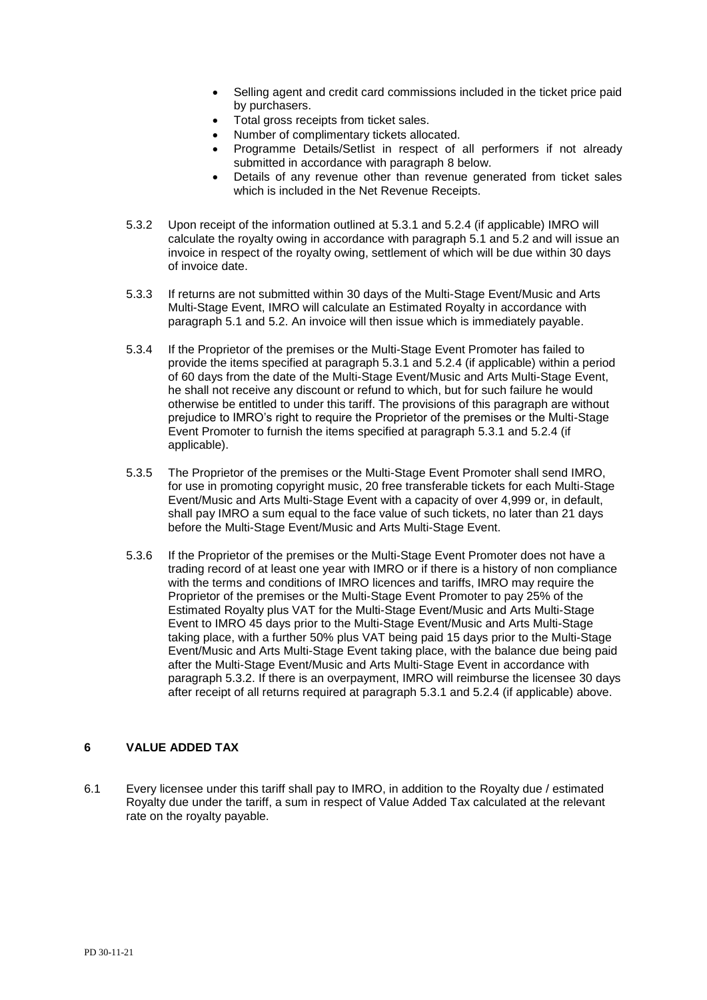- Selling agent and credit card commissions included in the ticket price paid by purchasers.
- Total gross receipts from ticket sales.
- Number of complimentary tickets allocated.
- Programme Details/Setlist in respect of all performers if not already submitted in accordance with paragraph 8 below.
- Details of any revenue other than revenue generated from ticket sales which is included in the Net Revenue Receipts.
- 5.3.2 Upon receipt of the information outlined at 5.3.1 and 5.2.4 (if applicable) IMRO will calculate the royalty owing in accordance with paragraph 5.1 and 5.2 and will issue an invoice in respect of the royalty owing, settlement of which will be due within 30 days of invoice date.
- 5.3.3 If returns are not submitted within 30 days of the Multi-Stage Event/Music and Arts Multi-Stage Event, IMRO will calculate an Estimated Royalty in accordance with paragraph 5.1 and 5.2. An invoice will then issue which is immediately payable.
- 5.3.4 If the Proprietor of the premises or the Multi-Stage Event Promoter has failed to provide the items specified at paragraph 5.3.1 and 5.2.4 (if applicable) within a period of 60 days from the date of the Multi-Stage Event/Music and Arts Multi-Stage Event, he shall not receive any discount or refund to which, but for such failure he would otherwise be entitled to under this tariff. The provisions of this paragraph are without prejudice to IMRO's right to require the Proprietor of the premises or the Multi-Stage Event Promoter to furnish the items specified at paragraph 5.3.1 and 5.2.4 (if applicable).
- 5.3.5 The Proprietor of the premises or the Multi-Stage Event Promoter shall send IMRO, for use in promoting copyright music, 20 free transferable tickets for each Multi-Stage Event/Music and Arts Multi-Stage Event with a capacity of over 4,999 or, in default, shall pay IMRO a sum equal to the face value of such tickets, no later than 21 days before the Multi-Stage Event/Music and Arts Multi-Stage Event.
- 5.3.6 If the Proprietor of the premises or the Multi-Stage Event Promoter does not have a trading record of at least one year with IMRO or if there is a history of non compliance with the terms and conditions of IMRO licences and tariffs, IMRO may require the Proprietor of the premises or the Multi-Stage Event Promoter to pay 25% of the Estimated Royalty plus VAT for the Multi-Stage Event/Music and Arts Multi-Stage Event to IMRO 45 days prior to the Multi-Stage Event/Music and Arts Multi-Stage taking place, with a further 50% plus VAT being paid 15 days prior to the Multi-Stage Event/Music and Arts Multi-Stage Event taking place, with the balance due being paid after the Multi-Stage Event/Music and Arts Multi-Stage Event in accordance with paragraph 5.3.2. If there is an overpayment, IMRO will reimburse the licensee 30 days after receipt of all returns required at paragraph 5.3.1 and 5.2.4 (if applicable) above.

# **6 VALUE ADDED TAX**

6.1 Every licensee under this tariff shall pay to IMRO, in addition to the Royalty due / estimated Royalty due under the tariff, a sum in respect of Value Added Tax calculated at the relevant rate on the royalty payable.